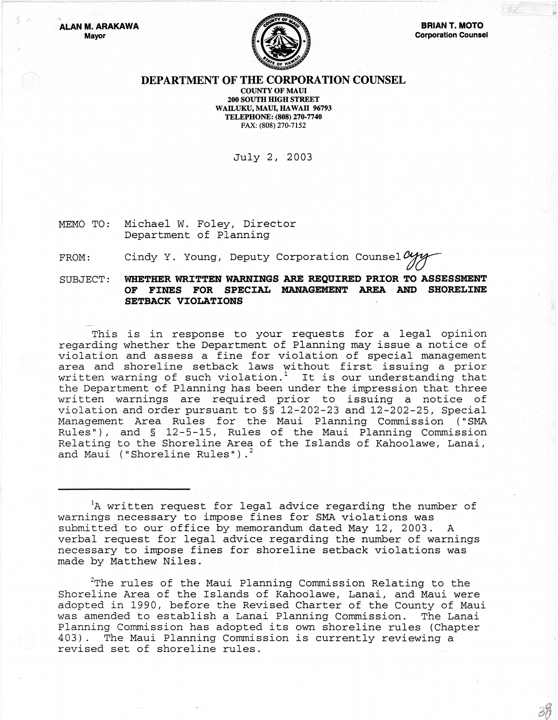

DEPARTMENT OF THE CORPORATION COUNSEL

COUNTY OF MAUl 200 SOUTH HIGH STREET WAILUKU, MAUI, HAWAII 96793 TELEPHONE: (808) 270·7740 FAX: (808) 270-7152

July 2, 2003

MEMO TO: Michael W. Foley, Director Department of Planning

FROM: Cindy Y. Young, Deputy Corporation Counsel  $\alpha$ 

SUBJECT: WHETHER WRITTEN WARNINGS ARE REQUIRED PRIOR TO ASSESSMENT OF FINES FOR SPECIAL MANAGEMENT AREA AND SHORELINE SETBACK VIOLATIONS

This is in response to your requests for a legal opinion regarding whether the Department of Planning may issue a notice of violation and assess a fine for violation of special management area and shoreline setback laws without first issuing a prior written warning of such violation.<sup>1</sup> It is our understanding that the Department of Planning has been under the impression that three written warnings are required prior to issuing a notice of violation and order pursuant to §§ 12-202-23 and 12-202-25, Special Management Area Rules for the Maui Planning Commission ( "SMA Rules"), and § 12-5-15, Rules of the Maui Planning Commission Relating to the Shoreline Area of the Islands of Kahoolawe, Lanai, and Maui ("Shoreline Rules").<sup>2</sup>

 ${}^{1}$ A written request for legal advice regarding the number of warnings necessary to impose fines for SMA violations was submitted to our office by memorandum dated May 12, 2003. A verbal request for legal advice regarding the number of warnings necessary to impose fines for shoreline setback violations was made by Matthew Niles.

<sup>2</sup>The rules of the Maui Planning Commission Relating to the Shoreline Area of the Islands of Kahoolawe, Lanai, and Maui were adopted in 1990, before the Revised Charter of the County of Maui was amended to establish a Lanai Planning Commission. The Lanai Planning Commission has adopted its own shoreline rules (Chapter 403). The Maui Planning Commission is currently reviewing a revised set of shoreline rules.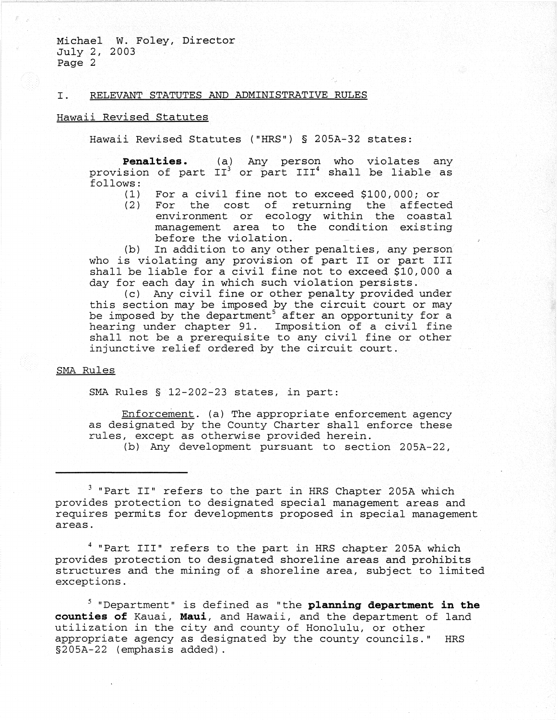# I. RELEVANT STATUTES AND ADMINISTRATIVE RULES

#### Hawaii Revised Statutes

Hawaii Revised Statutes ("HRS") § 205A-32 states:

**Penalties.** (a) Any person who violates any provision of part  $II^3$  or part  $III^4$  shall be liable as follows:

- $(1)$ For a civil fine not to exceed \$100,000; or
- $(2)$ For the cost of returning the affected environment or ecology within the coastal management area to the condition existing before the violation.

(b) In addition to any other penalties, any person who is violating any provision of part II or part III shall be liable for a civil fine not to exceed \$10,000 a day for each day in which such violation persists.

(c) Any civil fine or other penalty provided under this section may be imposed by the circuit court or may be imposed by the department<sup>5</sup> after an opportunity for a hearing under chapter 91. Imposition of a civil fine shall not be a prerequisite to any civil fine or other injunctive relief ordered by the circuit court.

### SMA Rules

SMA Rules § 12-202-23 states, in part:

Enforcement. (a) The appropriate enforcement agency as designated by the county Charter shall enforce these rules, except as otherwise provided herein.

(b) Any development pursuant to section 20SA-22,

 $3$  "Part II" refers to the part in HRS Chapter 205A which provides protection to designated special management areas and requires permits for developments proposed in special management areas.

<sup>4</sup> "Part III" refers to the part in HRS chapter 205A which provides protection to designated shoreline areas and prohibits structures and the mining of a shoreline area, subject to limited exceptions.

5 "Department" is defined as "the **planning department in the counties of** Kauai, **Maui,** and Hawaii, and the department of land utilization in the city and county of Honolulu, or other appropriate agency as designated by the county councils." HRS §20SA-22 (emphasis added).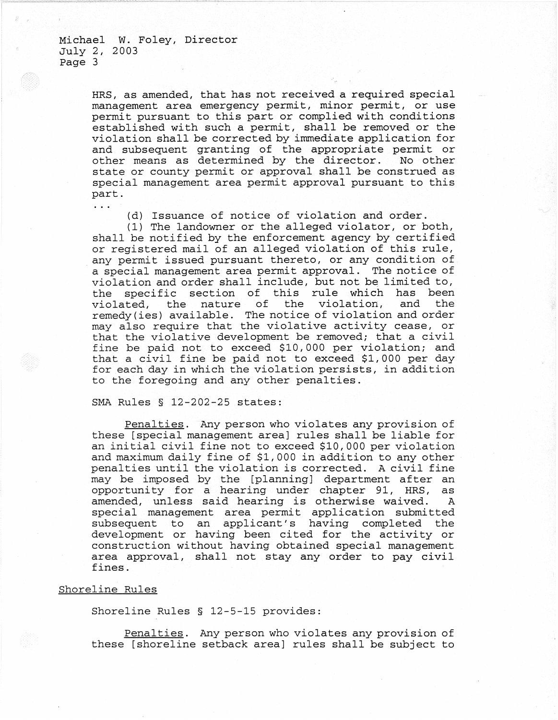> HRS, as amended, that has not received a required special management area emergency permit, minor permit, or use permit pursuant to this part or complied with conditions established with such a permit, shall be removed or the violation shall be corrected by immediate application for and subsequent granting of the appropriate permit or other means as determined by the director. No other state or county permit or approval shall be construed as special management area permit approval pursuant to this part.

(d) Issuance of notice of violation and order.

(1) The landowner or the alleged violator, or both, shall be notified by the enforcement agency by certified or registered mail of an alleged violation of this rule, any permit issued pursuant thereto, or any condition of a special management area permit approval. The notice of violation and order shall include, but not be limited to, the specific section of this rule which has been<br>violated, the nature of the violation, and the  $violated,$  the nature of the violation, remedy (ies) available. The notice of violation and order may also require that the violative activity cease, or that the violative development be removed; that a civil fine be paid not to exceed \$10,000 per violation; and that a civil fine be paid not to exceed \$1,000 per day for each day in which the violation persists, in addition to the foregoing and any other penalties.

SMA Rules § 12-202-25 states:

Penalties. Any person who violates any provision of these [special management area] rules shall be liable for an initial civil fine not to exceed \$10,000 per violation and maximum daily fine of \$1,000 in addition to any other penalties until the violation is corrected. A civil fine may be imposed by the [planning] department after an opportuni ty for a hearing under chapter 91, HRS, as amended, unless said hearing is otherwise waived. A special management area permit application submitted subsequent to an applicant's having completed the development or having been cited for the activity or construction without having obtained special management area approval, shall not stay any order to pay civil fines.

### Shoreline Rules

Shoreline Rules § 12-5-15 provides:

Penalties. Any person who violates any provision of these [shoreline setback area] rules shall be subject to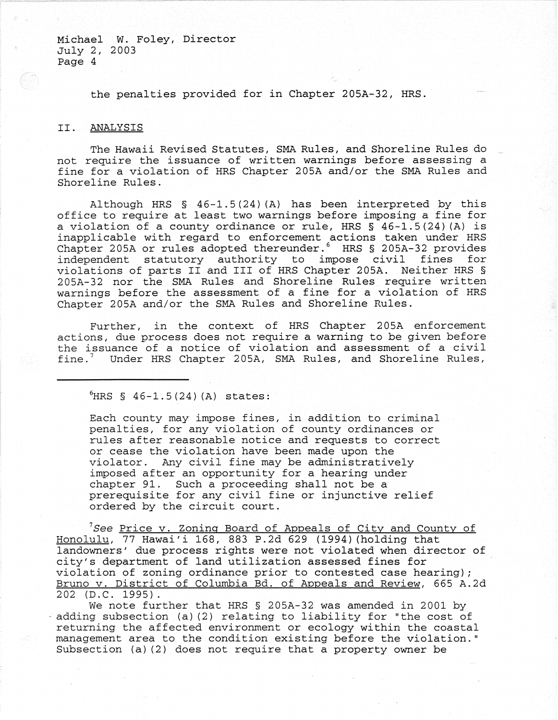the penalties provided for in Chapter 205A-32, HRS.

# II. ANALYSIS

The Hawaii Revised Statutes, SMA Rules, and Shoreline Rules do not require the issuance of written warnings before assessing a fine for a violation of HRS Chapter 205A and/or the SMA Rules and Shoreline Rules.

Although HRS § 46-1.5 (24) (A) has been interpreted by this office to require at least two warnings before imposing a fine for a violation of a county ordinance or rule, HRS § 46-1.5(24) (A) is inapplicable with regard to enforcement actions taken under HRS Chapter 205A or rules adopted thereunder. HRS § 205A-32 provides<br>independent statutory authority to impose civil fines for independent statutory authority to violations of parts II and III of HRS Chapter 205A. Neither HRS § 205A-32 nor the SMA Rules and Shoreline Rules. require written warnings before the assessment of a fine for a violation of HRS Chapter 205A and/or the SMA Rules and Shoreline Rules.

Further, in the context of HRS Chapter 205A enforcement actions, due process does not require a warning to be given before the issuance of a notice of violation and assessment of a civil fine.<sup>7</sup> Under HRS Chapter 205A, SMA Rules, and Shoreline Rules,

 $6$ HRS § 46-1.5(24)(A) states:

Each county may impose fines, in addition to criminal penalties, for any violation of county ordinances or rules after reasonable notice and requests to correct or cease the violation have been made upon the violator. Any civil fine may be administratively imposed after an opportunity for a hearing under chapter 91. Such a proceeding shall not be a prerequisite for any civil fine or injunctive relief ordered by the circuit court.

*7See* Price v. Zoning Board of Appeals of City and County of Honolulu, 77 Hawai'i 168, 883 P.2d 629 (1994) (holding that landowners' due process rights were not violated when director of city's department of land utilization assessed fines for violation of zoning ordinance prior to contested case hearing); Bruno v. District of Columbia Bd. of Appeals and Review, 665 A.2d 202 (D.C. 1995).

We note further that HRS § 205A-32 was amended in 2001 by adding subsection (a) (2) relating to liability for "the cost of returning the affected environment or ecology within the coastal management area to the condition existing before the violation." Subsection (a) (2) does not require that a property owner be